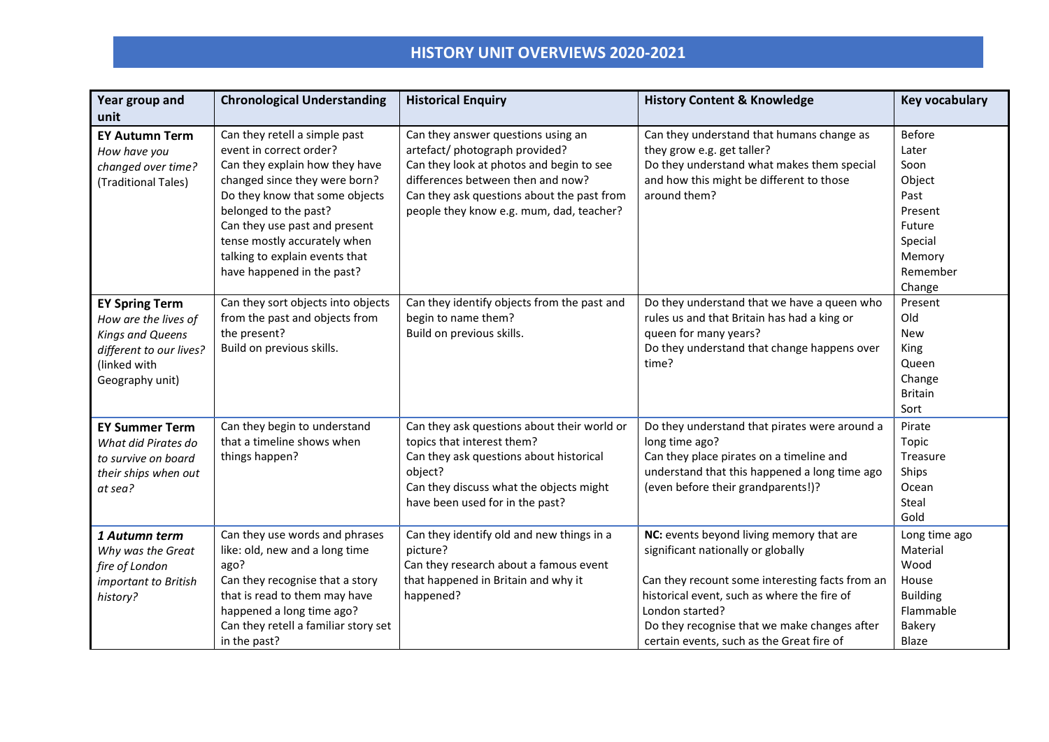| Year group and<br>unit                                                                                                                 | <b>Chronological Understanding</b>                                                                                                                                                                                                                                                                                      | <b>Historical Enquiry</b>                                                                                                                                                                                                                       | <b>History Content &amp; Knowledge</b>                                                                                                                                                                                                                                                           | Key vocabulary                                                                                            |
|----------------------------------------------------------------------------------------------------------------------------------------|-------------------------------------------------------------------------------------------------------------------------------------------------------------------------------------------------------------------------------------------------------------------------------------------------------------------------|-------------------------------------------------------------------------------------------------------------------------------------------------------------------------------------------------------------------------------------------------|--------------------------------------------------------------------------------------------------------------------------------------------------------------------------------------------------------------------------------------------------------------------------------------------------|-----------------------------------------------------------------------------------------------------------|
| <b>EY Autumn Term</b><br>How have you<br>changed over time?<br>(Traditional Tales)                                                     | Can they retell a simple past<br>event in correct order?<br>Can they explain how they have<br>changed since they were born?<br>Do they know that some objects<br>belonged to the past?<br>Can they use past and present<br>tense mostly accurately when<br>talking to explain events that<br>have happened in the past? | Can they answer questions using an<br>artefact/ photograph provided?<br>Can they look at photos and begin to see<br>differences between then and now?<br>Can they ask questions about the past from<br>people they know e.g. mum, dad, teacher? | Can they understand that humans change as<br>they grow e.g. get taller?<br>Do they understand what makes them special<br>and how this might be different to those<br>around them?                                                                                                                | Before<br>Later<br>Soon<br>Object<br>Past<br>Present<br>Future<br>Special<br>Memory<br>Remember<br>Change |
| <b>EY Spring Term</b><br>How are the lives of<br><b>Kings and Queens</b><br>different to our lives?<br>(linked with<br>Geography unit) | Can they sort objects into objects<br>from the past and objects from<br>the present?<br>Build on previous skills.                                                                                                                                                                                                       | Can they identify objects from the past and<br>begin to name them?<br>Build on previous skills.                                                                                                                                                 | Do they understand that we have a queen who<br>rules us and that Britain has had a king or<br>queen for many years?<br>Do they understand that change happens over<br>time?                                                                                                                      | Present<br>Old<br><b>New</b><br>King<br>Queen<br>Change<br><b>Britain</b><br>Sort                         |
| <b>EY Summer Term</b><br>What did Pirates do<br>to survive on board<br>their ships when out<br>at sea?                                 | Can they begin to understand<br>that a timeline shows when<br>things happen?                                                                                                                                                                                                                                            | Can they ask questions about their world or<br>topics that interest them?<br>Can they ask questions about historical<br>object?<br>Can they discuss what the objects might<br>have been used for in the past?                                   | Do they understand that pirates were around a<br>long time ago?<br>Can they place pirates on a timeline and<br>understand that this happened a long time ago<br>(even before their grandparents!)?                                                                                               | Pirate<br>Topic<br>Treasure<br>Ships<br>Ocean<br>Steal<br>Gold                                            |
| 1 Autumn term<br>Why was the Great<br>fire of London<br>important to British<br>history?                                               | Can they use words and phrases<br>like: old, new and a long time<br>ago?<br>Can they recognise that a story<br>that is read to them may have<br>happened a long time ago?<br>Can they retell a familiar story set<br>in the past?                                                                                       | Can they identify old and new things in a<br>picture?<br>Can they research about a famous event<br>that happened in Britain and why it<br>happened?                                                                                             | NC: events beyond living memory that are<br>significant nationally or globally<br>Can they recount some interesting facts from an<br>historical event, such as where the fire of<br>London started?<br>Do they recognise that we make changes after<br>certain events, such as the Great fire of | Long time ago<br>Material<br>Wood<br>House<br><b>Building</b><br>Flammable<br><b>Bakery</b><br>Blaze      |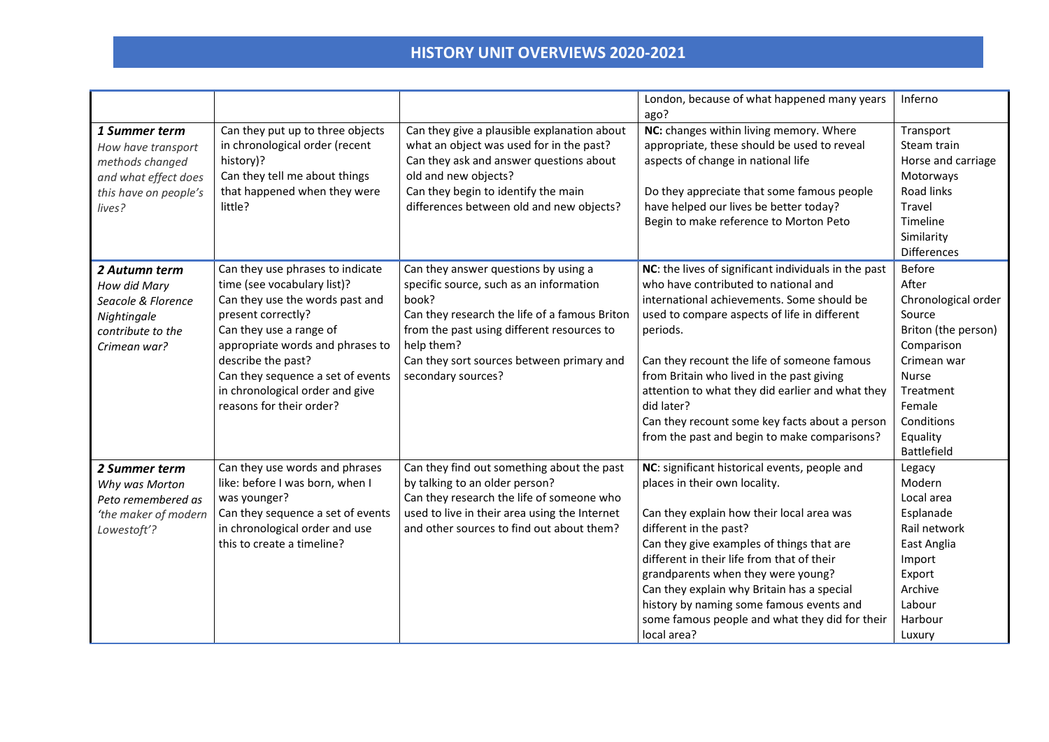|                                                                                                                   |                                                                                                                                                                                                                                                                                                                   |                                                                                                                                                                                                                                                                          | London, because of what happened many years                                                                                                                                                                                                                                                                                                                                                                                                                            | Inferno                                                                                                                                                                                            |
|-------------------------------------------------------------------------------------------------------------------|-------------------------------------------------------------------------------------------------------------------------------------------------------------------------------------------------------------------------------------------------------------------------------------------------------------------|--------------------------------------------------------------------------------------------------------------------------------------------------------------------------------------------------------------------------------------------------------------------------|------------------------------------------------------------------------------------------------------------------------------------------------------------------------------------------------------------------------------------------------------------------------------------------------------------------------------------------------------------------------------------------------------------------------------------------------------------------------|----------------------------------------------------------------------------------------------------------------------------------------------------------------------------------------------------|
| 1 Summer term<br>How have transport<br>methods changed<br>and what effect does<br>this have on people's<br>lives? | Can they put up to three objects<br>in chronological order (recent<br>history)?<br>Can they tell me about things<br>that happened when they were<br>little?                                                                                                                                                       | Can they give a plausible explanation about<br>what an object was used for in the past?<br>Can they ask and answer questions about<br>old and new objects?<br>Can they begin to identify the main<br>differences between old and new objects?                            | ago?<br>NC: changes within living memory. Where<br>appropriate, these should be used to reveal<br>aspects of change in national life<br>Do they appreciate that some famous people<br>have helped our lives be better today?<br>Begin to make reference to Morton Peto                                                                                                                                                                                                 | Transport<br>Steam train<br>Horse and carriage<br>Motorways<br>Road links<br>Travel<br>Timeline<br>Similarity<br><b>Differences</b>                                                                |
| 2 Autumn term<br>How did Mary<br>Seacole & Florence<br>Nightingale<br>contribute to the<br>Crimean war?           | Can they use phrases to indicate<br>time (see vocabulary list)?<br>Can they use the words past and<br>present correctly?<br>Can they use a range of<br>appropriate words and phrases to<br>describe the past?<br>Can they sequence a set of events<br>in chronological order and give<br>reasons for their order? | Can they answer questions by using a<br>specific source, such as an information<br>book?<br>Can they research the life of a famous Briton<br>from the past using different resources to<br>help them?<br>Can they sort sources between primary and<br>secondary sources? | NC: the lives of significant individuals in the past<br>who have contributed to national and<br>international achievements. Some should be<br>used to compare aspects of life in different<br>periods.<br>Can they recount the life of someone famous<br>from Britain who lived in the past giving<br>attention to what they did earlier and what they<br>did later?<br>Can they recount some key facts about a person<br>from the past and begin to make comparisons? | <b>Before</b><br>After<br>Chronological order<br>Source<br>Briton (the person)<br>Comparison<br>Crimean war<br><b>Nurse</b><br>Treatment<br>Female<br>Conditions<br>Equality<br><b>Battlefield</b> |
| 2 Summer term<br>Why was Morton<br>Peto remembered as<br>'the maker of modern<br>Lowestoft'?                      | Can they use words and phrases<br>like: before I was born, when I<br>was younger?<br>Can they sequence a set of events<br>in chronological order and use<br>this to create a timeline?                                                                                                                            | Can they find out something about the past<br>by talking to an older person?<br>Can they research the life of someone who<br>used to live in their area using the Internet<br>and other sources to find out about them?                                                  | NC: significant historical events, people and<br>places in their own locality.<br>Can they explain how their local area was<br>different in the past?<br>Can they give examples of things that are<br>different in their life from that of their<br>grandparents when they were young?<br>Can they explain why Britain has a special<br>history by naming some famous events and<br>some famous people and what they did for their<br>local area?                      | Legacy<br>Modern<br>Local area<br>Esplanade<br>Rail network<br>East Anglia<br>Import<br>Export<br>Archive<br>Labour<br>Harbour<br>Luxury                                                           |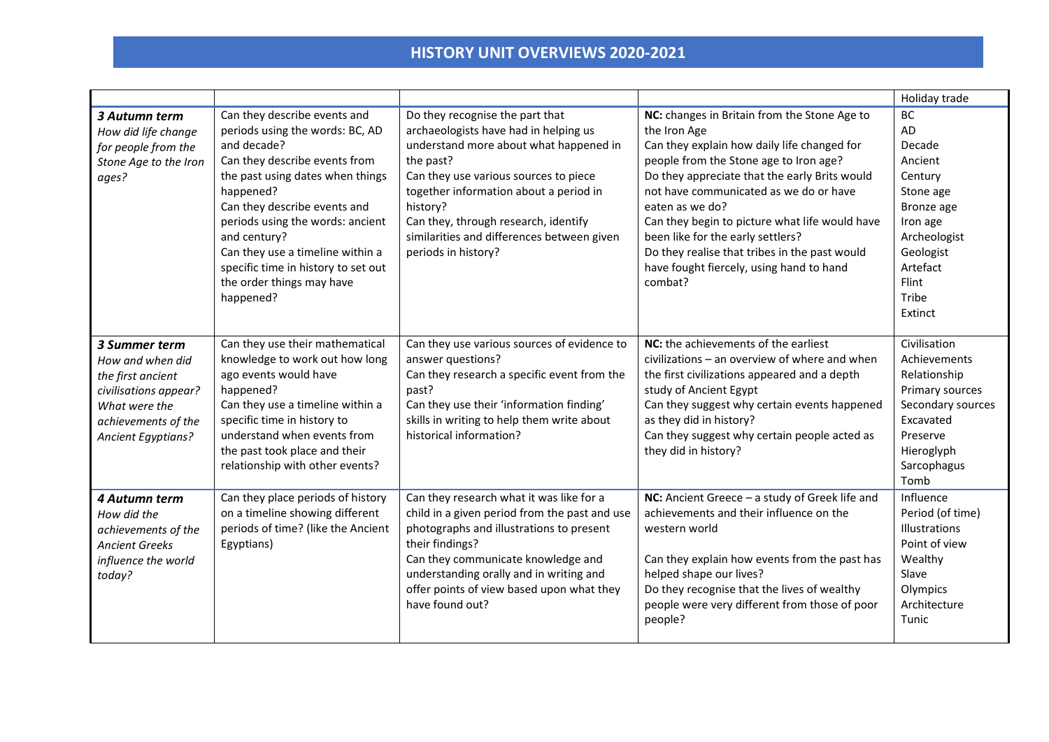|                                                                                                                                                      |                                                                                                                                                                                                                                                                                                                                                                           |                                                                                                                                                                                                                                                                                                                                             |                                                                                                                                                                                                                                                                                                                                                                                                                                                                    | Holiday trade                                                                                                                                                |
|------------------------------------------------------------------------------------------------------------------------------------------------------|---------------------------------------------------------------------------------------------------------------------------------------------------------------------------------------------------------------------------------------------------------------------------------------------------------------------------------------------------------------------------|---------------------------------------------------------------------------------------------------------------------------------------------------------------------------------------------------------------------------------------------------------------------------------------------------------------------------------------------|--------------------------------------------------------------------------------------------------------------------------------------------------------------------------------------------------------------------------------------------------------------------------------------------------------------------------------------------------------------------------------------------------------------------------------------------------------------------|--------------------------------------------------------------------------------------------------------------------------------------------------------------|
| 3 Autumn term<br>How did life change<br>for people from the<br>Stone Age to the Iron<br>ages?                                                        | Can they describe events and<br>periods using the words: BC, AD<br>and decade?<br>Can they describe events from<br>the past using dates when things<br>happened?<br>Can they describe events and<br>periods using the words: ancient<br>and century?<br>Can they use a timeline within a<br>specific time in history to set out<br>the order things may have<br>happened? | Do they recognise the part that<br>archaeologists have had in helping us<br>understand more about what happened in<br>the past?<br>Can they use various sources to piece<br>together information about a period in<br>history?<br>Can they, through research, identify<br>similarities and differences between given<br>periods in history? | NC: changes in Britain from the Stone Age to<br>the Iron Age<br>Can they explain how daily life changed for<br>people from the Stone age to Iron age?<br>Do they appreciate that the early Brits would<br>not have communicated as we do or have<br>eaten as we do?<br>Can they begin to picture what life would have<br>been like for the early settlers?<br>Do they realise that tribes in the past would<br>have fought fiercely, using hand to hand<br>combat? | <b>BC</b><br>AD<br>Decade<br>Ancient<br>Century<br>Stone age<br>Bronze age<br>Iron age<br>Archeologist<br>Geologist<br>Artefact<br>Flint<br>Tribe<br>Extinct |
| 3 Summer term<br>How and when did<br>the first ancient<br>civilisations appear?<br>What were the<br>achievements of the<br><b>Ancient Egyptians?</b> | Can they use their mathematical<br>knowledge to work out how long<br>ago events would have<br>happened?<br>Can they use a timeline within a<br>specific time in history to<br>understand when events from<br>the past took place and their<br>relationship with other events?                                                                                             | Can they use various sources of evidence to<br>answer questions?<br>Can they research a specific event from the<br>past?<br>Can they use their 'information finding'<br>skills in writing to help them write about<br>historical information?                                                                                               | NC: the achievements of the earliest<br>civilizations - an overview of where and when<br>the first civilizations appeared and a depth<br>study of Ancient Egypt<br>Can they suggest why certain events happened<br>as they did in history?<br>Can they suggest why certain people acted as<br>they did in history?                                                                                                                                                 | Civilisation<br>Achievements<br>Relationship<br>Primary sources<br>Secondary sources<br>Excavated<br>Preserve<br>Hieroglyph<br>Sarcophagus<br>Tomb           |
| 4 Autumn term<br>How did the<br>achievements of the<br><b>Ancient Greeks</b><br>influence the world<br>today?                                        | Can they place periods of history<br>on a timeline showing different<br>periods of time? (like the Ancient<br>Egyptians)                                                                                                                                                                                                                                                  | Can they research what it was like for a<br>child in a given period from the past and use<br>photographs and illustrations to present<br>their findings?<br>Can they communicate knowledge and<br>understanding orally and in writing and<br>offer points of view based upon what they<br>have found out?                                   | <b>NC:</b> Ancient Greece $-$ a study of Greek life and<br>achievements and their influence on the<br>western world<br>Can they explain how events from the past has<br>helped shape our lives?<br>Do they recognise that the lives of wealthy<br>people were very different from those of poor<br>people?                                                                                                                                                         | Influence<br>Period (of time)<br>Illustrations<br>Point of view<br>Wealthy<br>Slave<br>Olympics<br>Architecture<br>Tunic                                     |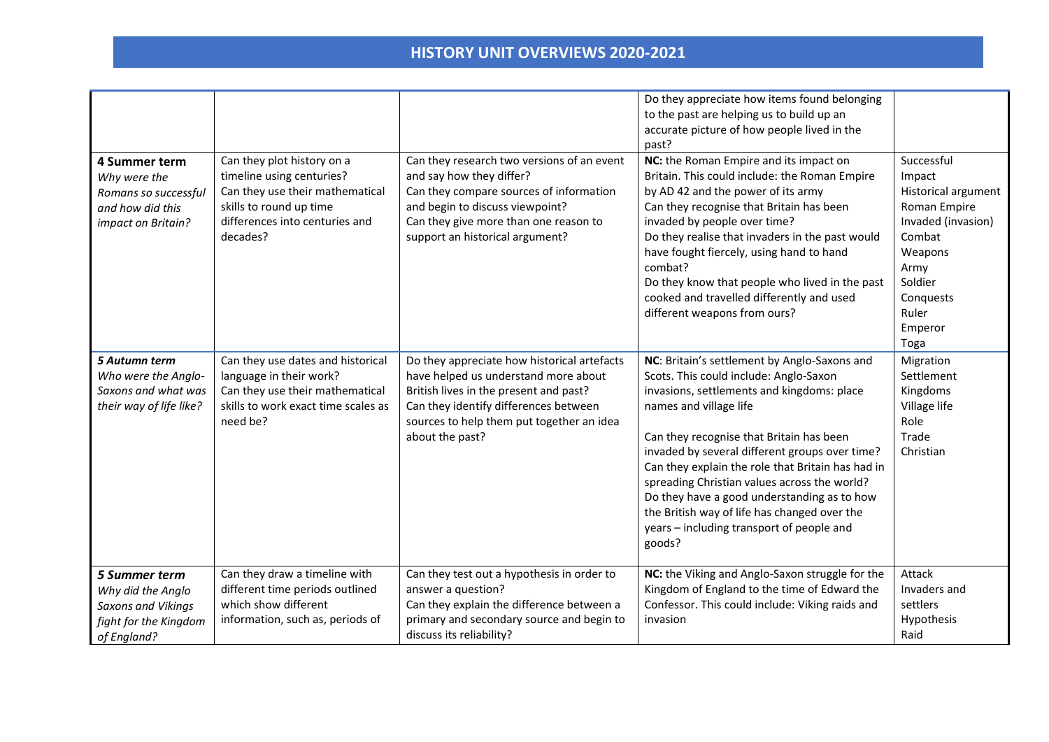| 4 Summer term<br>Why were the<br>Romans so successful<br>and how did this<br>impact on Britain?                | Can they plot history on a<br>timeline using centuries?<br>Can they use their mathematical<br>skills to round up time<br>differences into centuries and<br>decades? | Can they research two versions of an event<br>and say how they differ?<br>Can they compare sources of information<br>and begin to discuss viewpoint?<br>Can they give more than one reason to<br>support an historical argument?       | Do they appreciate how items found belonging<br>to the past are helping us to build up an<br>accurate picture of how people lived in the<br>past?<br>NC: the Roman Empire and its impact on<br>Britain. This could include: the Roman Empire<br>by AD 42 and the power of its army<br>Can they recognise that Britain has been<br>invaded by people over time?<br>Do they realise that invaders in the past would<br>have fought fiercely, using hand to hand<br>combat?<br>Do they know that people who lived in the past<br>cooked and travelled differently and used<br>different weapons from ours? | Successful<br>Impact<br>Historical argument<br>Roman Empire<br>Invaded (invasion)<br>Combat<br>Weapons<br>Army<br>Soldier<br>Conquests<br>Ruler |
|----------------------------------------------------------------------------------------------------------------|---------------------------------------------------------------------------------------------------------------------------------------------------------------------|----------------------------------------------------------------------------------------------------------------------------------------------------------------------------------------------------------------------------------------|---------------------------------------------------------------------------------------------------------------------------------------------------------------------------------------------------------------------------------------------------------------------------------------------------------------------------------------------------------------------------------------------------------------------------------------------------------------------------------------------------------------------------------------------------------------------------------------------------------|-------------------------------------------------------------------------------------------------------------------------------------------------|
|                                                                                                                |                                                                                                                                                                     |                                                                                                                                                                                                                                        |                                                                                                                                                                                                                                                                                                                                                                                                                                                                                                                                                                                                         | Emperor<br>Toga                                                                                                                                 |
| 5 Autumn term<br>Who were the Anglo-<br>Saxons and what was<br>their way of life like?                         | Can they use dates and historical<br>language in their work?<br>Can they use their mathematical<br>skills to work exact time scales as<br>need be?                  | Do they appreciate how historical artefacts<br>have helped us understand more about<br>British lives in the present and past?<br>Can they identify differences between<br>sources to help them put together an idea<br>about the past? | NC: Britain's settlement by Anglo-Saxons and<br>Scots. This could include: Anglo-Saxon<br>invasions, settlements and kingdoms: place<br>names and village life<br>Can they recognise that Britain has been<br>invaded by several different groups over time?<br>Can they explain the role that Britain has had in<br>spreading Christian values across the world?<br>Do they have a good understanding as to how<br>the British way of life has changed over the<br>years - including transport of people and<br>goods?                                                                                 | Migration<br>Settlement<br>Kingdoms<br>Village life<br>Role<br>Trade<br>Christian                                                               |
| <b>5 Summer term</b><br>Why did the Anglo<br><b>Saxons and Vikings</b><br>fight for the Kingdom<br>of England? | Can they draw a timeline with<br>different time periods outlined<br>which show different<br>information, such as, periods of                                        | Can they test out a hypothesis in order to<br>answer a question?<br>Can they explain the difference between a<br>primary and secondary source and begin to<br>discuss its reliability?                                                 | NC: the Viking and Anglo-Saxon struggle for the<br>Kingdom of England to the time of Edward the<br>Confessor. This could include: Viking raids and<br>invasion                                                                                                                                                                                                                                                                                                                                                                                                                                          | Attack<br>Invaders and<br>settlers<br>Hypothesis<br>Raid                                                                                        |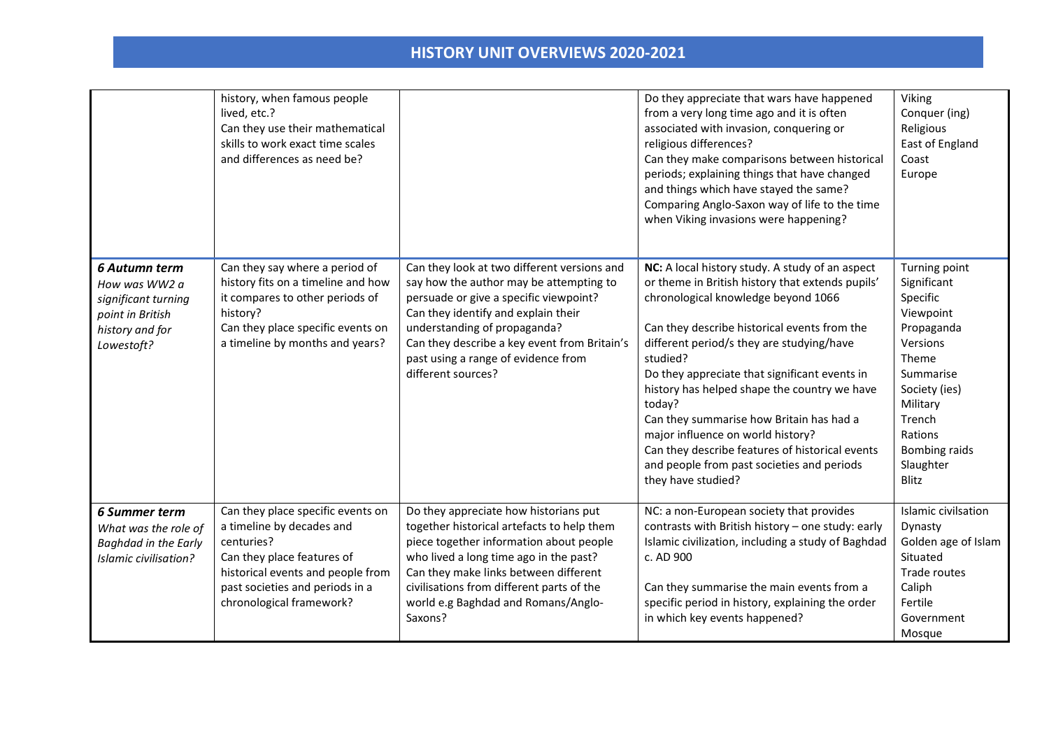|                                                                                                            | history, when famous people<br>lived, etc.?<br>Can they use their mathematical<br>skills to work exact time scales<br>and differences as need be?                                                              |                                                                                                                                                                                                                                                                                                                      | Do they appreciate that wars have happened<br>from a very long time ago and it is often<br>associated with invasion, conquering or<br>religious differences?<br>Can they make comparisons between historical<br>periods; explaining things that have changed<br>and things which have stayed the same?<br>Comparing Anglo-Saxon way of life to the time<br>when Viking invasions were happening?                                                                                                                                                                       | Viking<br>Conquer (ing)<br>Religious<br>East of England<br>Coast<br>Europe                                                                                                                            |
|------------------------------------------------------------------------------------------------------------|----------------------------------------------------------------------------------------------------------------------------------------------------------------------------------------------------------------|----------------------------------------------------------------------------------------------------------------------------------------------------------------------------------------------------------------------------------------------------------------------------------------------------------------------|------------------------------------------------------------------------------------------------------------------------------------------------------------------------------------------------------------------------------------------------------------------------------------------------------------------------------------------------------------------------------------------------------------------------------------------------------------------------------------------------------------------------------------------------------------------------|-------------------------------------------------------------------------------------------------------------------------------------------------------------------------------------------------------|
| 6 Autumn term<br>How was WW2 a<br>significant turning<br>point in British<br>history and for<br>Lowestoft? | Can they say where a period of<br>history fits on a timeline and how<br>it compares to other periods of<br>history?<br>Can they place specific events on<br>a timeline by months and years?                    | Can they look at two different versions and<br>say how the author may be attempting to<br>persuade or give a specific viewpoint?<br>Can they identify and explain their<br>understanding of propaganda?<br>Can they describe a key event from Britain's<br>past using a range of evidence from<br>different sources? | NC: A local history study. A study of an aspect<br>or theme in British history that extends pupils'<br>chronological knowledge beyond 1066<br>Can they describe historical events from the<br>different period/s they are studying/have<br>studied?<br>Do they appreciate that significant events in<br>history has helped shape the country we have<br>today?<br>Can they summarise how Britain has had a<br>major influence on world history?<br>Can they describe features of historical events<br>and people from past societies and periods<br>they have studied? | Turning point<br>Significant<br>Specific<br>Viewpoint<br>Propaganda<br>Versions<br>Theme<br>Summarise<br>Society (ies)<br>Military<br>Trench<br>Rations<br><b>Bombing raids</b><br>Slaughter<br>Blitz |
| <b>6 Summer term</b><br>What was the role of<br>Baghdad in the Early<br>Islamic civilisation?              | Can they place specific events on<br>a timeline by decades and<br>centuries?<br>Can they place features of<br>historical events and people from<br>past societies and periods in a<br>chronological framework? | Do they appreciate how historians put<br>together historical artefacts to help them<br>piece together information about people<br>who lived a long time ago in the past?<br>Can they make links between different<br>civilisations from different parts of the<br>world e.g Baghdad and Romans/Anglo-<br>Saxons?     | NC: a non-European society that provides<br>contrasts with British history - one study: early<br>Islamic civilization, including a study of Baghdad<br>c. AD 900<br>Can they summarise the main events from a<br>specific period in history, explaining the order<br>in which key events happened?                                                                                                                                                                                                                                                                     | Islamic civilsation<br>Dynasty<br>Golden age of Islam<br>Situated<br>Trade routes<br>Caliph<br>Fertile<br>Government<br>Mosque                                                                        |